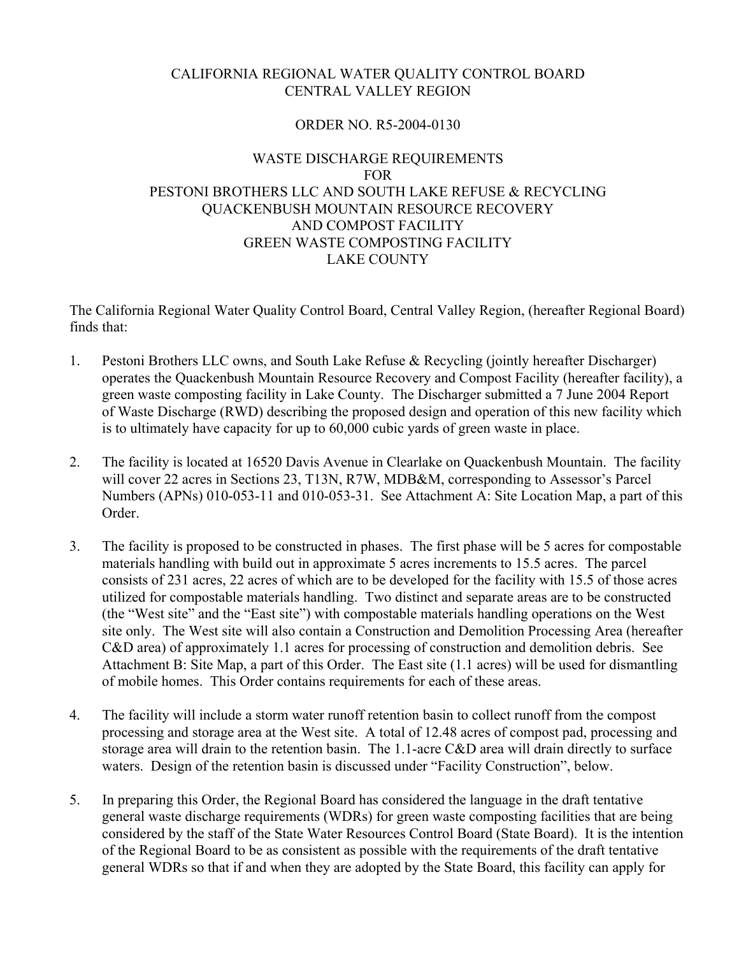## CALIFORNIA REGIONAL WATER QUALITY CONTROL BOARD CENTRAL VALLEY REGION

#### ORDER NO. R5-2004-0130

## WASTE DISCHARGE REQUIREMENTS FOR PESTONI BROTHERS LLC AND SOUTH LAKE REFUSE & RECYCLING QUACKENBUSH MOUNTAIN RESOURCE RECOVERY AND COMPOST FACILITY GREEN WASTE COMPOSTING FACILITY LAKE COUNTY

The California Regional Water Quality Control Board, Central Valley Region, (hereafter Regional Board) finds that:

- 1. Pestoni Brothers LLC owns, and South Lake Refuse & Recycling (jointly hereafter Discharger) operates the Quackenbush Mountain Resource Recovery and Compost Facility (hereafter facility), a green waste composting facility in Lake County. The Discharger submitted a 7 June 2004 Report of Waste Discharge (RWD) describing the proposed design and operation of this new facility which is to ultimately have capacity for up to 60,000 cubic yards of green waste in place.
- 2. The facility is located at 16520 Davis Avenue in Clearlake on Quackenbush Mountain. The facility will cover 22 acres in Sections 23, T13N, R7W, MDB&M, corresponding to Assessor's Parcel Numbers (APNs) 010-053-11 and 010-053-31. See Attachment A: Site Location Map, a part of this Order.
- 3. The facility is proposed to be constructed in phases. The first phase will be 5 acres for compostable materials handling with build out in approximate 5 acres increments to 15.5 acres. The parcel consists of 231 acres, 22 acres of which are to be developed for the facility with 15.5 of those acres utilized for compostable materials handling. Two distinct and separate areas are to be constructed (the "West site" and the "East site") with compostable materials handling operations on the West site only. The West site will also contain a Construction and Demolition Processing Area (hereafter C&D area) of approximately 1.1 acres for processing of construction and demolition debris. See Attachment B: Site Map, a part of this Order. The East site (1.1 acres) will be used for dismantling of mobile homes. This Order contains requirements for each of these areas.
- 4. The facility will include a storm water runoff retention basin to collect runoff from the compost processing and storage area at the West site. A total of 12.48 acres of compost pad, processing and storage area will drain to the retention basin. The 1.1-acre C&D area will drain directly to surface waters. Design of the retention basin is discussed under "Facility Construction", below.
- 5. In preparing this Order, the Regional Board has considered the language in the draft tentative general waste discharge requirements (WDRs) for green waste composting facilities that are being considered by the staff of the State Water Resources Control Board (State Board). It is the intention of the Regional Board to be as consistent as possible with the requirements of the draft tentative general WDRs so that if and when they are adopted by the State Board, this facility can apply for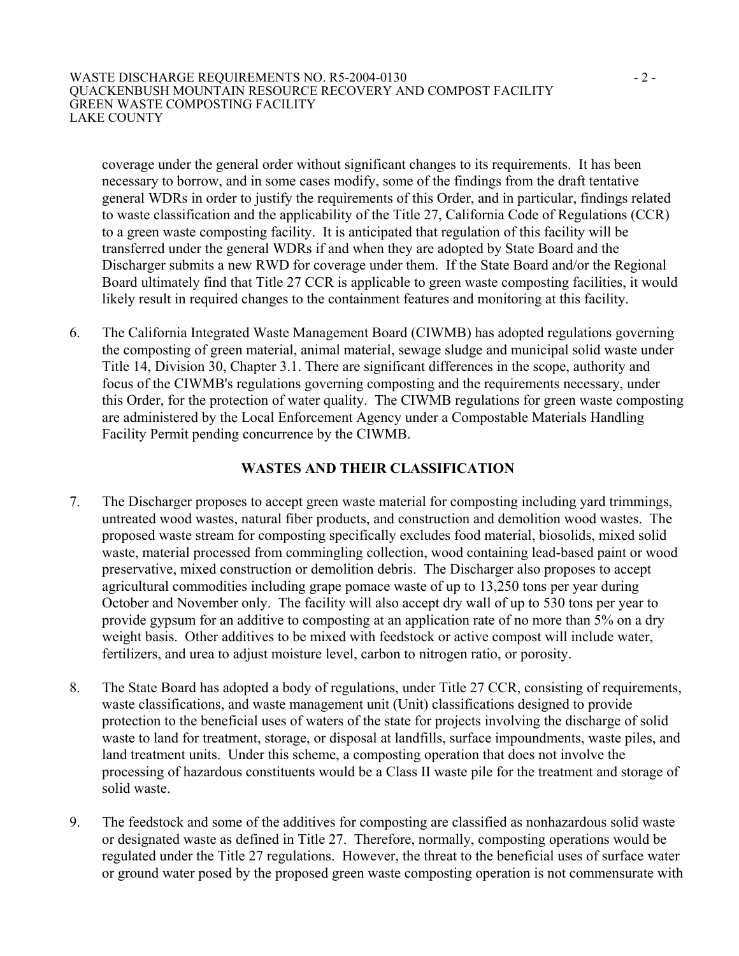#### WASTE DISCHARGE REQUIREMENTS NO. R5-2004-0130 - 2 -QUACKENBUSH MOUNTAIN RESOURCE RECOVERY AND COMPOST FACILITY GREEN WASTE COMPOSTING FACILITY LAKE COUNTY

coverage under the general order without significant changes to its requirements. It has been necessary to borrow, and in some cases modify, some of the findings from the draft tentative general WDRs in order to justify the requirements of this Order, and in particular, findings related to waste classification and the applicability of the Title 27, California Code of Regulations (CCR) to a green waste composting facility. It is anticipated that regulation of this facility will be transferred under the general WDRs if and when they are adopted by State Board and the Discharger submits a new RWD for coverage under them. If the State Board and/or the Regional Board ultimately find that Title 27 CCR is applicable to green waste composting facilities, it would likely result in required changes to the containment features and monitoring at this facility.

6. The California Integrated Waste Management Board (CIWMB) has adopted regulations governing the composting of green material, animal material, sewage sludge and municipal solid waste under Title 14, Division 30, Chapter 3.1. There are significant differences in the scope, authority and focus of the CIWMB's regulations governing composting and the requirements necessary, under this Order, for the protection of water quality. The CIWMB regulations for green waste composting are administered by the Local Enforcement Agency under a Compostable Materials Handling Facility Permit pending concurrence by the CIWMB.

## **WASTES AND THEIR CLASSIFICATION**

- 7. The Discharger proposes to accept green waste material for composting including yard trimmings, untreated wood wastes, natural fiber products, and construction and demolition wood wastes. The proposed waste stream for composting specifically excludes food material, biosolids, mixed solid waste, material processed from commingling collection, wood containing lead-based paint or wood preservative, mixed construction or demolition debris. The Discharger also proposes to accept agricultural commodities including grape pomace waste of up to 13,250 tons per year during October and November only. The facility will also accept dry wall of up to 530 tons per year to provide gypsum for an additive to composting at an application rate of no more than 5% on a dry weight basis. Other additives to be mixed with feedstock or active compost will include water, fertilizers, and urea to adjust moisture level, carbon to nitrogen ratio, or porosity.
- 8. The State Board has adopted a body of regulations, under Title 27 CCR, consisting of requirements, waste classifications, and waste management unit (Unit) classifications designed to provide protection to the beneficial uses of waters of the state for projects involving the discharge of solid waste to land for treatment, storage, or disposal at landfills, surface impoundments, waste piles, and land treatment units. Under this scheme, a composting operation that does not involve the processing of hazardous constituents would be a Class II waste pile for the treatment and storage of solid waste.
- 9. The feedstock and some of the additives for composting are classified as nonhazardous solid waste or designated waste as defined in Title 27. Therefore, normally, composting operations would be regulated under the Title 27 regulations. However, the threat to the beneficial uses of surface water or ground water posed by the proposed green waste composting operation is not commensurate with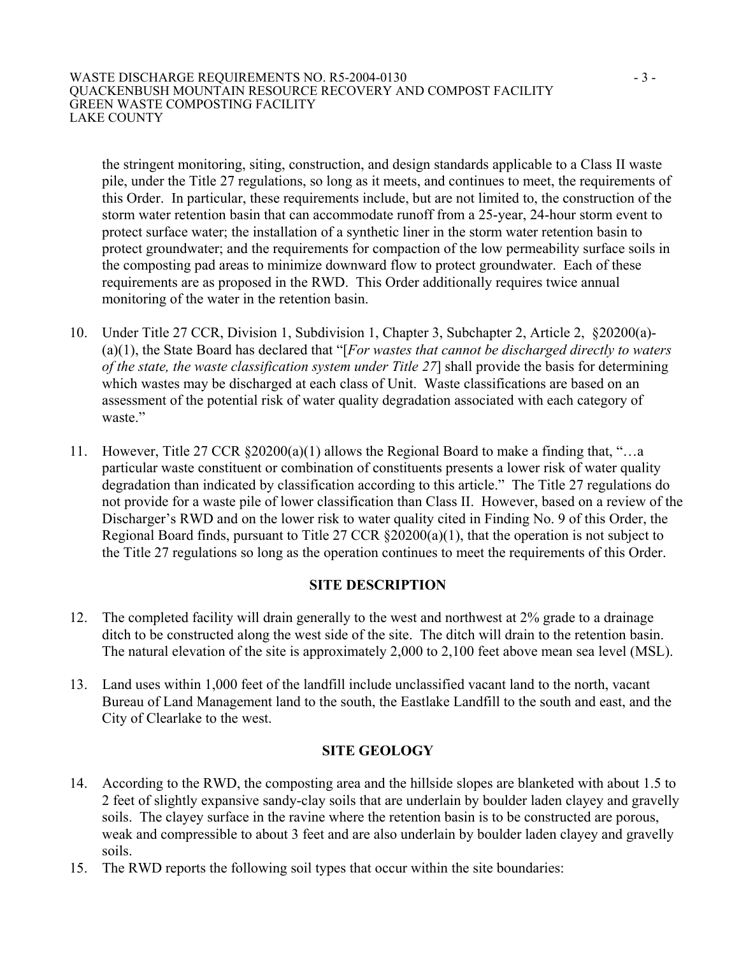#### WASTE DISCHARGE REQUIREMENTS NO. R5-2004-0130 - 3 -QUACKENBUSH MOUNTAIN RESOURCE RECOVERY AND COMPOST FACILITY GREEN WASTE COMPOSTING FACILITY LAKE COUNTY

the stringent monitoring, siting, construction, and design standards applicable to a Class II waste pile, under the Title 27 regulations, so long as it meets, and continues to meet, the requirements of this Order. In particular, these requirements include, but are not limited to, the construction of the storm water retention basin that can accommodate runoff from a 25-year, 24-hour storm event to protect surface water; the installation of a synthetic liner in the storm water retention basin to protect groundwater; and the requirements for compaction of the low permeability surface soils in the composting pad areas to minimize downward flow to protect groundwater. Each of these requirements are as proposed in the RWD. This Order additionally requires twice annual monitoring of the water in the retention basin.

- 10. Under Title 27 CCR, Division 1, Subdivision 1, Chapter 3, Subchapter 2, Article 2, §20200(a)- (a)(1), the State Board has declared that "[*For wastes that cannot be discharged directly to waters of the state, the waste classification system under Title 27*] shall provide the basis for determining which wastes may be discharged at each class of Unit. Waste classifications are based on an assessment of the potential risk of water quality degradation associated with each category of waste."
- 11. However, Title 27 CCR §20200(a)(1) allows the Regional Board to make a finding that, "…a particular waste constituent or combination of constituents presents a lower risk of water quality degradation than indicated by classification according to this article." The Title 27 regulations do not provide for a waste pile of lower classification than Class II. However, based on a review of the Discharger's RWD and on the lower risk to water quality cited in Finding No. 9 of this Order, the Regional Board finds, pursuant to Title 27 CCR §20200(a)(1), that the operation is not subject to the Title 27 regulations so long as the operation continues to meet the requirements of this Order.

#### **SITE DESCRIPTION**

- 12. The completed facility will drain generally to the west and northwest at 2% grade to a drainage ditch to be constructed along the west side of the site. The ditch will drain to the retention basin. The natural elevation of the site is approximately 2,000 to 2,100 feet above mean sea level (MSL).
- 13. Land uses within 1,000 feet of the landfill include unclassified vacant land to the north, vacant Bureau of Land Management land to the south, the Eastlake Landfill to the south and east, and the City of Clearlake to the west.

#### **SITE GEOLOGY**

- 14. According to the RWD, the composting area and the hillside slopes are blanketed with about 1.5 to 2 feet of slightly expansive sandy-clay soils that are underlain by boulder laden clayey and gravelly soils. The clayey surface in the ravine where the retention basin is to be constructed are porous, weak and compressible to about 3 feet and are also underlain by boulder laden clayey and gravelly soils.
- 15. The RWD reports the following soil types that occur within the site boundaries: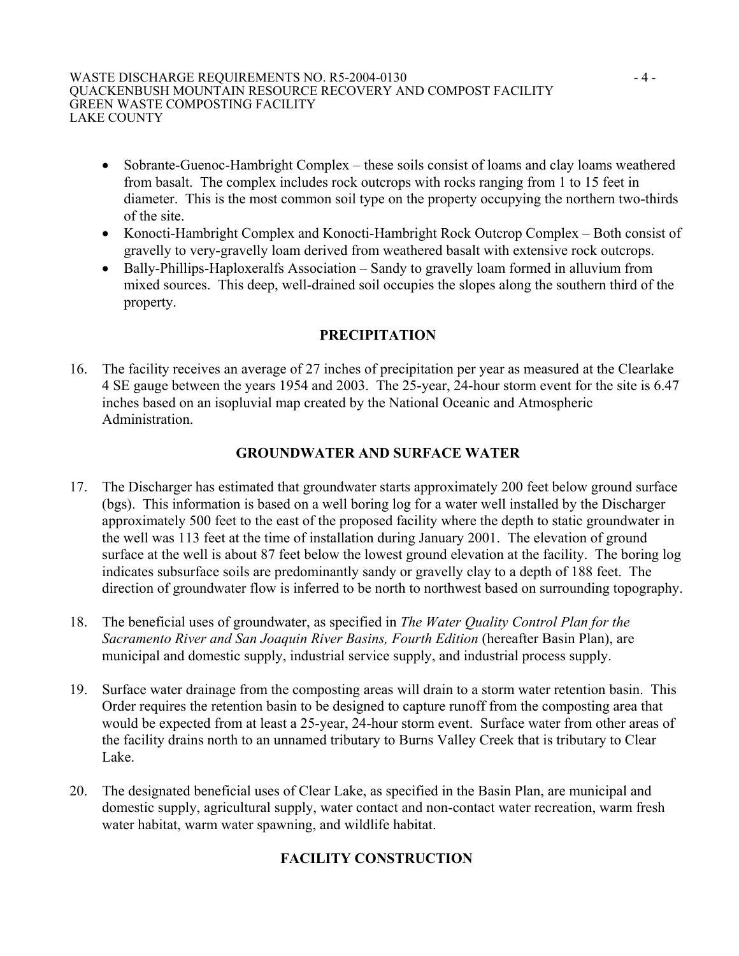- Sobrante-Guenoc-Hambright Complex these soils consist of loams and clay loams weathered from basalt. The complex includes rock outcrops with rocks ranging from 1 to 15 feet in diameter. This is the most common soil type on the property occupying the northern two-thirds of the site.
- Konocti-Hambright Complex and Konocti-Hambright Rock Outcrop Complex Both consist of gravelly to very-gravelly loam derived from weathered basalt with extensive rock outcrops.
- Bally-Phillips-Haploxeralfs Association Sandy to gravelly loam formed in alluvium from mixed sources. This deep, well-drained soil occupies the slopes along the southern third of the property.

## **PRECIPITATION**

16. The facility receives an average of 27 inches of precipitation per year as measured at the Clearlake 4 SE gauge between the years 1954 and 2003. The 25-year, 24-hour storm event for the site is 6.47 inches based on an isopluvial map created by the National Oceanic and Atmospheric Administration.

## **GROUNDWATER AND SURFACE WATER**

- 17. The Discharger has estimated that groundwater starts approximately 200 feet below ground surface (bgs). This information is based on a well boring log for a water well installed by the Discharger approximately 500 feet to the east of the proposed facility where the depth to static groundwater in the well was 113 feet at the time of installation during January 2001. The elevation of ground surface at the well is about 87 feet below the lowest ground elevation at the facility. The boring log indicates subsurface soils are predominantly sandy or gravelly clay to a depth of 188 feet. The direction of groundwater flow is inferred to be north to northwest based on surrounding topography.
- 18. The beneficial uses of groundwater, as specified in *The Water Quality Control Plan for the Sacramento River and San Joaquin River Basins, Fourth Edition* (hereafter Basin Plan), are municipal and domestic supply, industrial service supply, and industrial process supply.
- 19. Surface water drainage from the composting areas will drain to a storm water retention basin. This Order requires the retention basin to be designed to capture runoff from the composting area that would be expected from at least a 25-year, 24-hour storm event. Surface water from other areas of the facility drains north to an unnamed tributary to Burns Valley Creek that is tributary to Clear Lake.
- 20. The designated beneficial uses of Clear Lake, as specified in the Basin Plan, are municipal and domestic supply, agricultural supply, water contact and non-contact water recreation, warm fresh water habitat, warm water spawning, and wildlife habitat.

# **FACILITY CONSTRUCTION**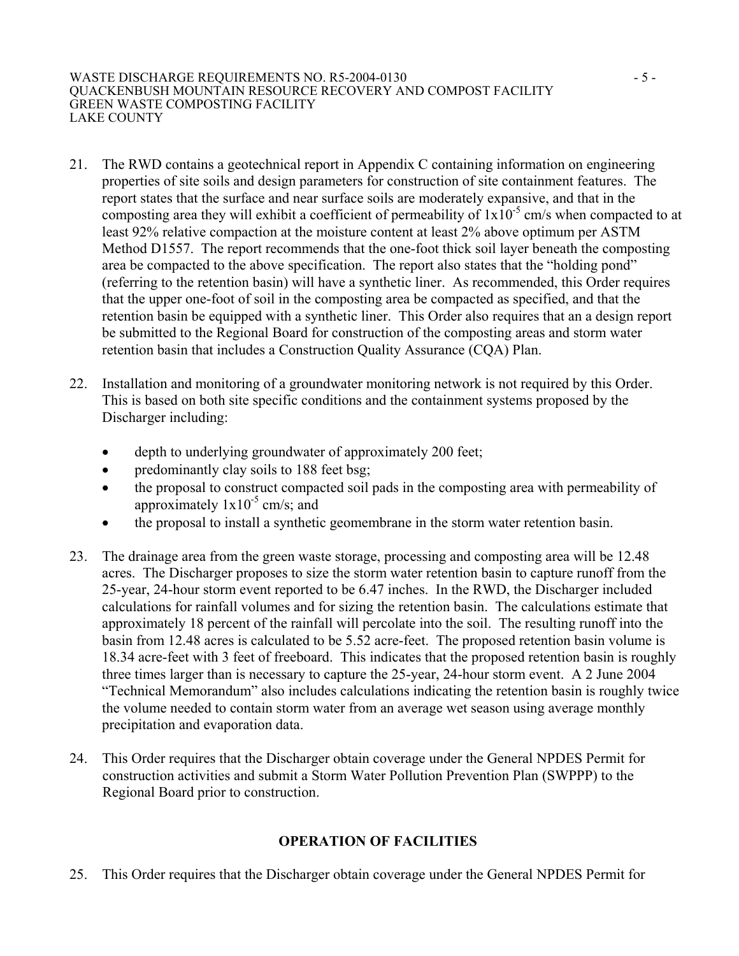- 21. The RWD contains a geotechnical report in Appendix C containing information on engineering properties of site soils and design parameters for construction of site containment features. The report states that the surface and near surface soils are moderately expansive, and that in the composting area they will exhibit a coefficient of permeability of  $1x10^{-5}$  cm/s when compacted to at least 92% relative compaction at the moisture content at least 2% above optimum per ASTM Method D1557. The report recommends that the one-foot thick soil layer beneath the composting area be compacted to the above specification. The report also states that the "holding pond" (referring to the retention basin) will have a synthetic liner. As recommended, this Order requires that the upper one-foot of soil in the composting area be compacted as specified, and that the retention basin be equipped with a synthetic liner. This Order also requires that an a design report be submitted to the Regional Board for construction of the composting areas and storm water retention basin that includes a Construction Quality Assurance (CQA) Plan.
- 22. Installation and monitoring of a groundwater monitoring network is not required by this Order. This is based on both site specific conditions and the containment systems proposed by the Discharger including:
	- depth to underlying groundwater of approximately 200 feet;
	- predominantly clay soils to 188 feet bsg;
	- the proposal to construct compacted soil pads in the composting area with permeability of approximately  $1x10^{-5}$  cm/s; and
	- the proposal to install a synthetic geomembrane in the storm water retention basin.
- 23. The drainage area from the green waste storage, processing and composting area will be 12.48 acres. The Discharger proposes to size the storm water retention basin to capture runoff from the 25-year, 24-hour storm event reported to be 6.47 inches. In the RWD, the Discharger included calculations for rainfall volumes and for sizing the retention basin. The calculations estimate that approximately 18 percent of the rainfall will percolate into the soil. The resulting runoff into the basin from 12.48 acres is calculated to be 5.52 acre-feet. The proposed retention basin volume is 18.34 acre-feet with 3 feet of freeboard. This indicates that the proposed retention basin is roughly three times larger than is necessary to capture the 25-year, 24-hour storm event. A 2 June 2004 "Technical Memorandum" also includes calculations indicating the retention basin is roughly twice the volume needed to contain storm water from an average wet season using average monthly precipitation and evaporation data.
- 24. This Order requires that the Discharger obtain coverage under the General NPDES Permit for construction activities and submit a Storm Water Pollution Prevention Plan (SWPPP) to the Regional Board prior to construction.

# **OPERATION OF FACILITIES**

25. This Order requires that the Discharger obtain coverage under the General NPDES Permit for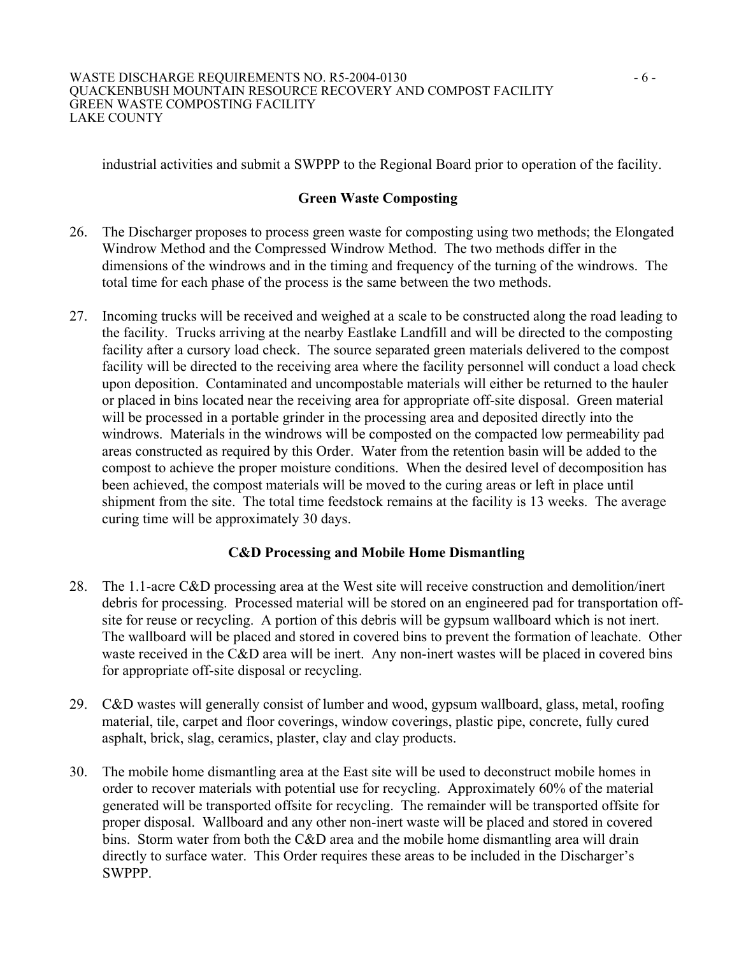industrial activities and submit a SWPPP to the Regional Board prior to operation of the facility.

## **Green Waste Composting**

- 26. The Discharger proposes to process green waste for composting using two methods; the Elongated Windrow Method and the Compressed Windrow Method. The two methods differ in the dimensions of the windrows and in the timing and frequency of the turning of the windrows. The total time for each phase of the process is the same between the two methods.
- 27. Incoming trucks will be received and weighed at a scale to be constructed along the road leading to the facility. Trucks arriving at the nearby Eastlake Landfill and will be directed to the composting facility after a cursory load check. The source separated green materials delivered to the compost facility will be directed to the receiving area where the facility personnel will conduct a load check upon deposition. Contaminated and uncompostable materials will either be returned to the hauler or placed in bins located near the receiving area for appropriate off-site disposal. Green material will be processed in a portable grinder in the processing area and deposited directly into the windrows. Materials in the windrows will be composted on the compacted low permeability pad areas constructed as required by this Order. Water from the retention basin will be added to the compost to achieve the proper moisture conditions. When the desired level of decomposition has been achieved, the compost materials will be moved to the curing areas or left in place until shipment from the site. The total time feedstock remains at the facility is 13 weeks. The average curing time will be approximately 30 days.

## **C&D Processing and Mobile Home Dismantling**

- 28. The 1.1-acre C&D processing area at the West site will receive construction and demolition/inert debris for processing. Processed material will be stored on an engineered pad for transportation offsite for reuse or recycling. A portion of this debris will be gypsum wallboard which is not inert. The wallboard will be placed and stored in covered bins to prevent the formation of leachate. Other waste received in the C&D area will be inert. Any non-inert wastes will be placed in covered bins for appropriate off-site disposal or recycling.
- 29. C&D wastes will generally consist of lumber and wood, gypsum wallboard, glass, metal, roofing material, tile, carpet and floor coverings, window coverings, plastic pipe, concrete, fully cured asphalt, brick, slag, ceramics, plaster, clay and clay products.
- 30. The mobile home dismantling area at the East site will be used to deconstruct mobile homes in order to recover materials with potential use for recycling. Approximately 60% of the material generated will be transported offsite for recycling. The remainder will be transported offsite for proper disposal. Wallboard and any other non-inert waste will be placed and stored in covered bins. Storm water from both the C&D area and the mobile home dismantling area will drain directly to surface water. This Order requires these areas to be included in the Discharger's SWPPP.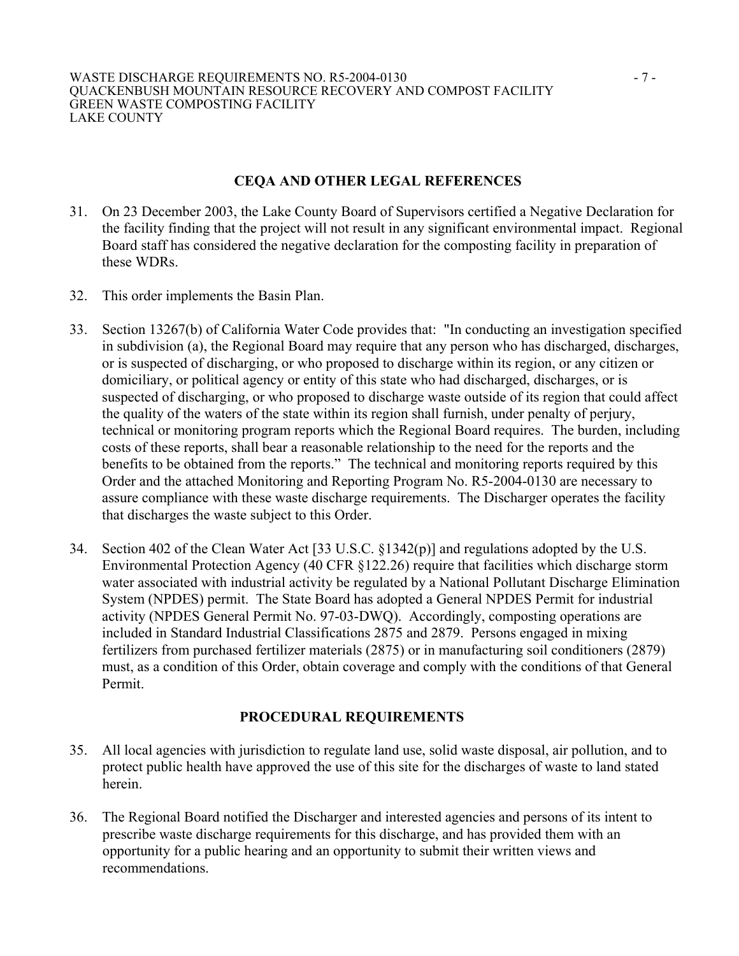#### **CEQA AND OTHER LEGAL REFERENCES**

- 31. On 23 December 2003, the Lake County Board of Supervisors certified a Negative Declaration for the facility finding that the project will not result in any significant environmental impact. Regional Board staff has considered the negative declaration for the composting facility in preparation of these WDRs.
- 32. This order implements the Basin Plan.
- 33. Section 13267(b) of California Water Code provides that: "In conducting an investigation specified in subdivision (a), the Regional Board may require that any person who has discharged, discharges, or is suspected of discharging, or who proposed to discharge within its region, or any citizen or domiciliary, or political agency or entity of this state who had discharged, discharges, or is suspected of discharging, or who proposed to discharge waste outside of its region that could affect the quality of the waters of the state within its region shall furnish, under penalty of perjury, technical or monitoring program reports which the Regional Board requires. The burden, including costs of these reports, shall bear a reasonable relationship to the need for the reports and the benefits to be obtained from the reports." The technical and monitoring reports required by this Order and the attached Monitoring and Reporting Program No. R5-2004-0130 are necessary to assure compliance with these waste discharge requirements. The Discharger operates the facility that discharges the waste subject to this Order.
- 34. Section 402 of the Clean Water Act [33 U.S.C. §1342(p)] and regulations adopted by the U.S. Environmental Protection Agency (40 CFR §122.26) require that facilities which discharge storm water associated with industrial activity be regulated by a National Pollutant Discharge Elimination System (NPDES) permit. The State Board has adopted a General NPDES Permit for industrial activity (NPDES General Permit No. 97-03-DWQ). Accordingly, composting operations are included in Standard Industrial Classifications 2875 and 2879. Persons engaged in mixing fertilizers from purchased fertilizer materials (2875) or in manufacturing soil conditioners (2879) must, as a condition of this Order, obtain coverage and comply with the conditions of that General Permit.

## **PROCEDURAL REQUIREMENTS**

- 35. All local agencies with jurisdiction to regulate land use, solid waste disposal, air pollution, and to protect public health have approved the use of this site for the discharges of waste to land stated herein.
- 36. The Regional Board notified the Discharger and interested agencies and persons of its intent to prescribe waste discharge requirements for this discharge, and has provided them with an opportunity for a public hearing and an opportunity to submit their written views and recommendations.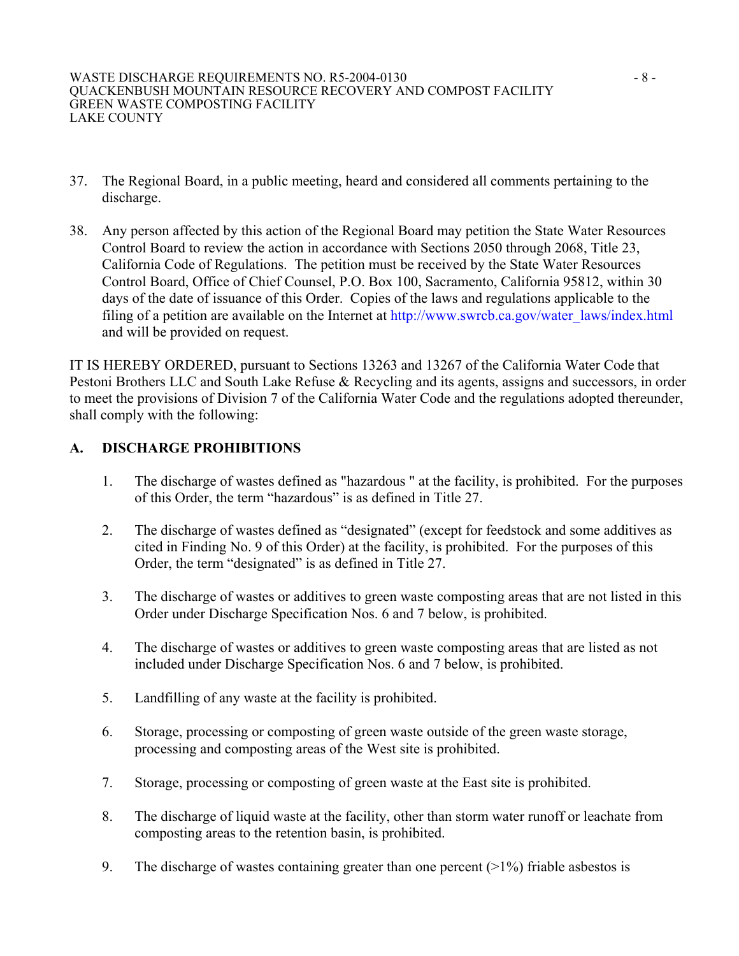- 37. The Regional Board, in a public meeting, heard and considered all comments pertaining to the discharge.
- 38. Any person affected by this action of the Regional Board may petition the State Water Resources Control Board to review the action in accordance with Sections 2050 through 2068, Title 23, California Code of Regulations. The petition must be received by the State Water Resources Control Board, Office of Chief Counsel, P.O. Box 100, Sacramento, California 95812, within 30 days of the date of issuance of this Order. Copies of the laws and regulations applicable to the filing of a petition are available on the Internet at http://www.swrcb.ca.gov/water\_laws/index.html and will be provided on request.

IT IS HEREBY ORDERED, pursuant to Sections 13263 and 13267 of the California Water Code that Pestoni Brothers LLC and South Lake Refuse & Recycling and its agents, assigns and successors, in order to meet the provisions of Division 7 of the California Water Code and the regulations adopted thereunder, shall comply with the following:

## **A. DISCHARGE PROHIBITIONS**

- 1. The discharge of wastes defined as "hazardous " at the facility, is prohibited. For the purposes of this Order, the term "hazardous" is as defined in Title 27.
- 2. The discharge of wastes defined as "designated" (except for feedstock and some additives as cited in Finding No. 9 of this Order) at the facility, is prohibited. For the purposes of this Order, the term "designated" is as defined in Title 27.
- 3. The discharge of wastes or additives to green waste composting areas that are not listed in this Order under Discharge Specification Nos. 6 and 7 below, is prohibited.
- 4. The discharge of wastes or additives to green waste composting areas that are listed as not included under Discharge Specification Nos. 6 and 7 below, is prohibited.
- 5. Landfilling of any waste at the facility is prohibited.
- 6. Storage, processing or composting of green waste outside of the green waste storage, processing and composting areas of the West site is prohibited.
- 7. Storage, processing or composting of green waste at the East site is prohibited.
- 8. The discharge of liquid waste at the facility, other than storm water runoff or leachate from composting areas to the retention basin, is prohibited.
- 9. The discharge of wastes containing greater than one percent  $(>1%)$  friable asbestos is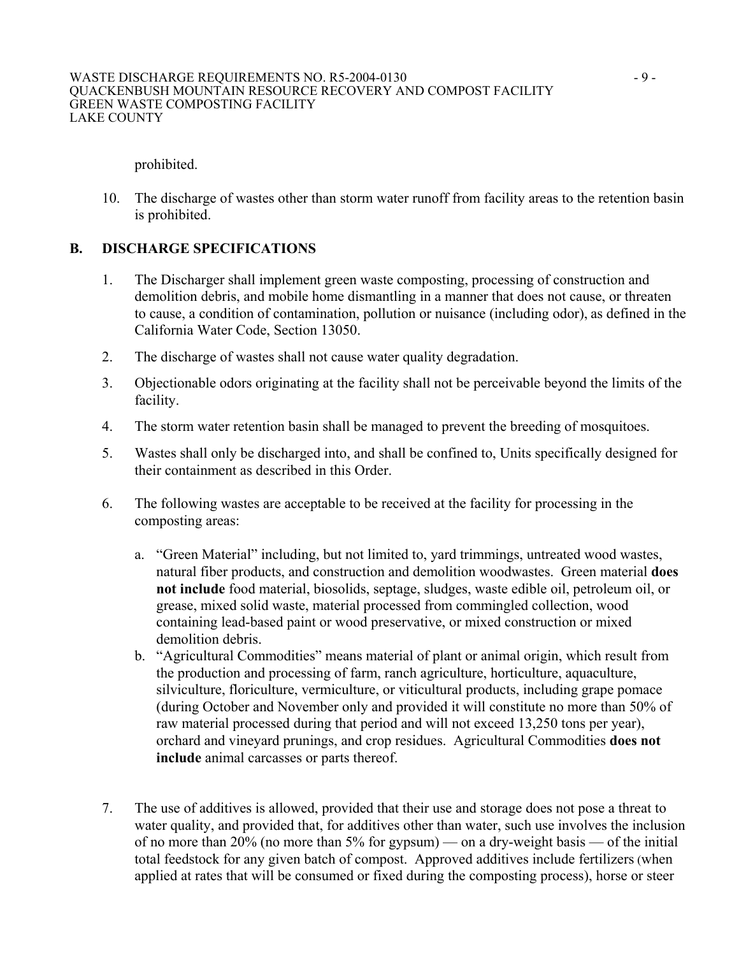prohibited.

10. The discharge of wastes other than storm water runoff from facility areas to the retention basin is prohibited.

## **B. DISCHARGE SPECIFICATIONS**

- 1. The Discharger shall implement green waste composting, processing of construction and demolition debris, and mobile home dismantling in a manner that does not cause, or threaten to cause, a condition of contamination, pollution or nuisance (including odor), as defined in the California Water Code, Section 13050.
- 2. The discharge of wastes shall not cause water quality degradation.
- 3. Objectionable odors originating at the facility shall not be perceivable beyond the limits of the facility.
- 4. The storm water retention basin shall be managed to prevent the breeding of mosquitoes.
- 5. Wastes shall only be discharged into, and shall be confined to, Units specifically designed for their containment as described in this Order.
- 6. The following wastes are acceptable to be received at the facility for processing in the composting areas:
	- a. "Green Material" including, but not limited to, yard trimmings, untreated wood wastes, natural fiber products, and construction and demolition woodwastes. Green material **does not include** food material, biosolids, septage, sludges, waste edible oil, petroleum oil, or grease, mixed solid waste, material processed from commingled collection, wood containing lead-based paint or wood preservative, or mixed construction or mixed demolition debris.
	- b. "Agricultural Commodities" means material of plant or animal origin, which result from the production and processing of farm, ranch agriculture, horticulture, aquaculture, silviculture, floriculture, vermiculture, or viticultural products, including grape pomace (during October and November only and provided it will constitute no more than 50% of raw material processed during that period and will not exceed 13,250 tons per year), orchard and vineyard prunings, and crop residues. Agricultural Commodities **does not include** animal carcasses or parts thereof.
- 7. The use of additives is allowed, provided that their use and storage does not pose a threat to water quality, and provided that, for additives other than water, such use involves the inclusion of no more than 20% (no more than 5% for gypsum) — on a dry-weight basis — of the initial total feedstock for any given batch of compost. Approved additives include fertilizers (when applied at rates that will be consumed or fixed during the composting process), horse or steer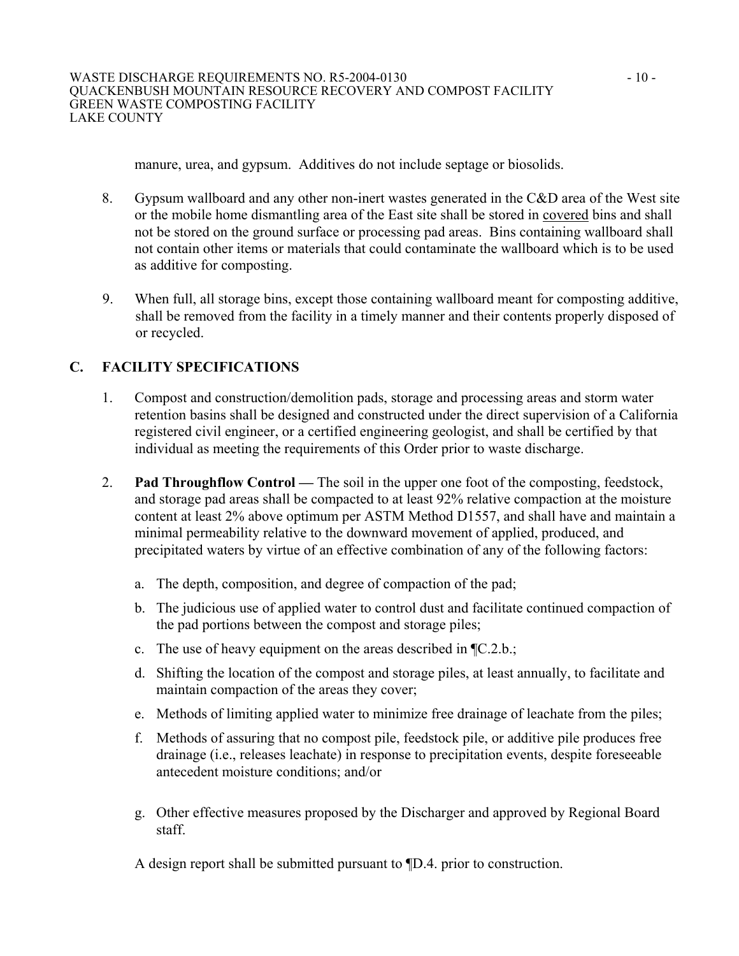manure, urea, and gypsum. Additives do not include septage or biosolids.

- 8. Gypsum wallboard and any other non-inert wastes generated in the C&D area of the West site or the mobile home dismantling area of the East site shall be stored in covered bins and shall not be stored on the ground surface or processing pad areas. Bins containing wallboard shall not contain other items or materials that could contaminate the wallboard which is to be used as additive for composting.
- 9. When full, all storage bins, except those containing wallboard meant for composting additive, shall be removed from the facility in a timely manner and their contents properly disposed of or recycled.

# **C. FACILITY SPECIFICATIONS**

- 1. Compost and construction/demolition pads, storage and processing areas and storm water retention basins shall be designed and constructed under the direct supervision of a California registered civil engineer, or a certified engineering geologist, and shall be certified by that individual as meeting the requirements of this Order prior to waste discharge.
- 2. **Pad Throughflow Control —** The soil in the upper one foot of the composting, feedstock, and storage pad areas shall be compacted to at least 92% relative compaction at the moisture content at least 2% above optimum per ASTM Method D1557, and shall have and maintain a minimal permeability relative to the downward movement of applied, produced, and precipitated waters by virtue of an effective combination of any of the following factors:
	- a. The depth, composition, and degree of compaction of the pad;
	- b. The judicious use of applied water to control dust and facilitate continued compaction of the pad portions between the compost and storage piles;
	- c. The use of heavy equipment on the areas described in ¶C.2.b.;
	- d. Shifting the location of the compost and storage piles, at least annually, to facilitate and maintain compaction of the areas they cover;
	- e. Methods of limiting applied water to minimize free drainage of leachate from the piles;
	- f. Methods of assuring that no compost pile, feedstock pile, or additive pile produces free drainage (i.e., releases leachate) in response to precipitation events, despite foreseeable antecedent moisture conditions; and/or
	- g. Other effective measures proposed by the Discharger and approved by Regional Board staff.

A design report shall be submitted pursuant to ¶D.4. prior to construction.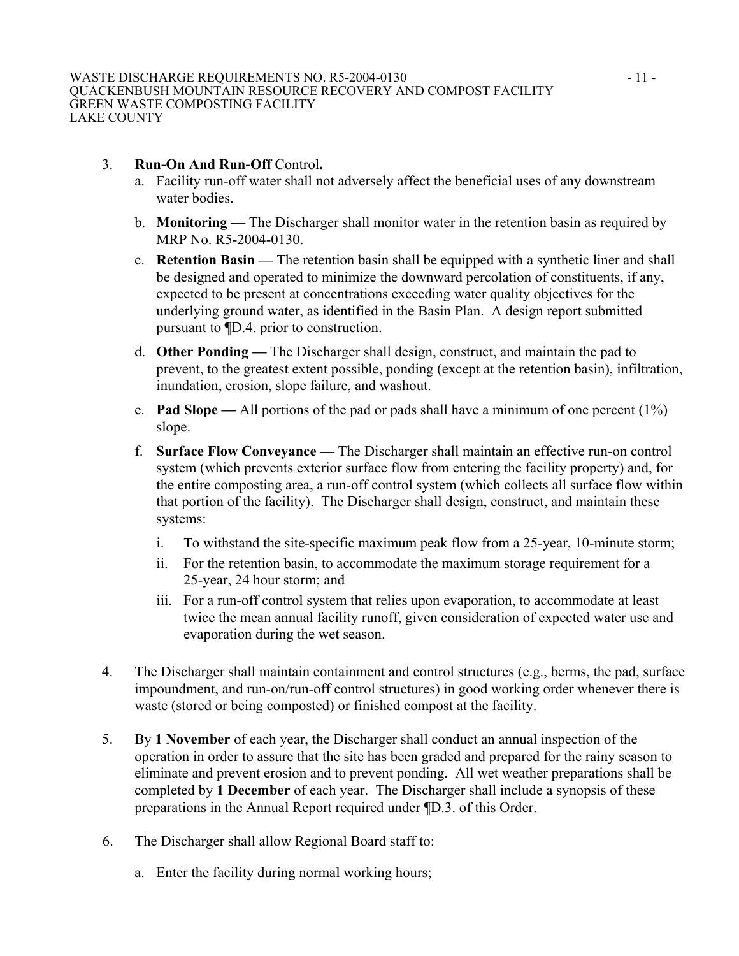#### 3. **Run-On And Run-Off** Control**.**

- a. Facility run-off water shall not adversely affect the beneficial uses of any downstream water bodies.
- b. **Monitoring** The Discharger shall monitor water in the retention basin as required by MRP No. R5-2004-0130.
- c. **Retention Basin** The retention basin shall be equipped with a synthetic liner and shall be designed and operated to minimize the downward percolation of constituents, if any, expected to be present at concentrations exceeding water quality objectives for the underlying ground water, as identified in the Basin Plan. A design report submitted pursuant to ¶D.4. prior to construction.
- d. **Other Ponding —** The Discharger shall design, construct, and maintain the pad to prevent, to the greatest extent possible, ponding (except at the retention basin), infiltration, inundation, erosion, slope failure, and washout.
- e. **Pad Slope —** All portions of the pad or pads shall have a minimum of one percent (1%) slope.
- f. **Surface Flow Conveyance —** The Discharger shall maintain an effective run-on control system (which prevents exterior surface flow from entering the facility property) and, for the entire composting area, a run-off control system (which collects all surface flow within that portion of the facility). The Discharger shall design, construct, and maintain these systems:
	- i. To withstand the site-specific maximum peak flow from a 25-year, 10-minute storm;
	- ii. For the retention basin, to accommodate the maximum storage requirement for a 25-year, 24 hour storm; and
	- iii. For a run-off control system that relies upon evaporation, to accommodate at least twice the mean annual facility runoff, given consideration of expected water use and evaporation during the wet season.
- 4. The Discharger shall maintain containment and control structures (e.g., berms, the pad, surface impoundment, and run-on/run-off control structures) in good working order whenever there is waste (stored or being composted) or finished compost at the facility.
- 5. By **1 November** of each year, the Discharger shall conduct an annual inspection of the operation in order to assure that the site has been graded and prepared for the rainy season to eliminate and prevent erosion and to prevent ponding. All wet weather preparations shall be completed by **1 December** of each year. The Discharger shall include a synopsis of these preparations in the Annual Report required under ¶D.3. of this Order.
- 6. The Discharger shall allow Regional Board staff to:
	- a. Enter the facility during normal working hours;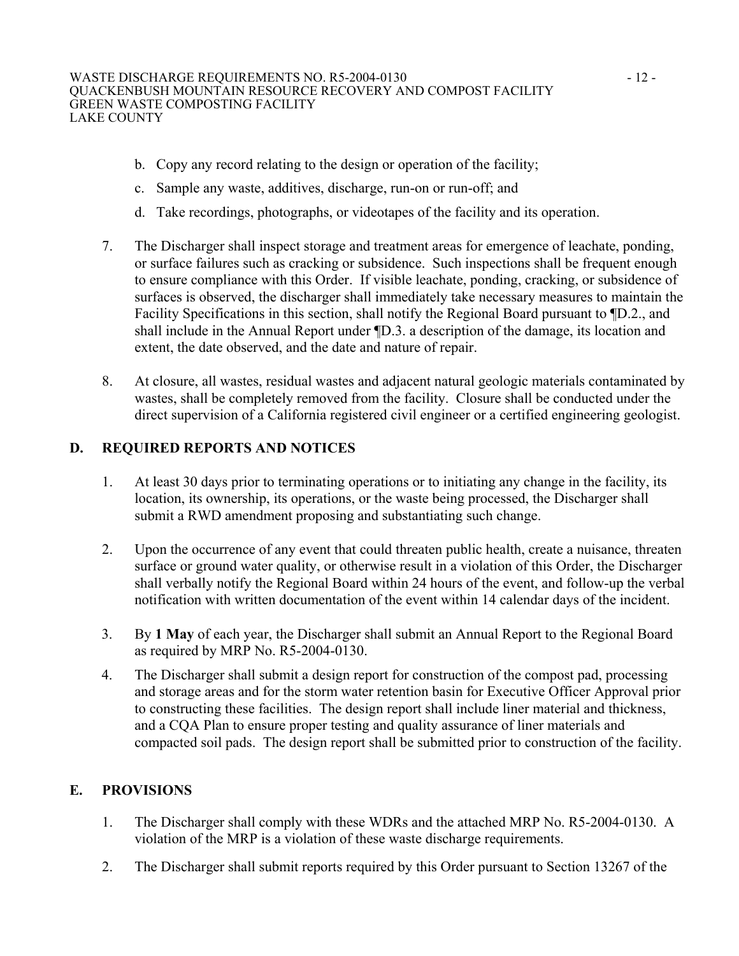- b. Copy any record relating to the design or operation of the facility;
- c. Sample any waste, additives, discharge, run-on or run-off; and
- d. Take recordings, photographs, or videotapes of the facility and its operation.
- 7. The Discharger shall inspect storage and treatment areas for emergence of leachate, ponding, or surface failures such as cracking or subsidence. Such inspections shall be frequent enough to ensure compliance with this Order. If visible leachate, ponding, cracking, or subsidence of surfaces is observed, the discharger shall immediately take necessary measures to maintain the Facility Specifications in this section, shall notify the Regional Board pursuant to ¶D.2., and shall include in the Annual Report under ¶D.3. a description of the damage, its location and extent, the date observed, and the date and nature of repair.
- 8. At closure, all wastes, residual wastes and adjacent natural geologic materials contaminated by wastes, shall be completely removed from the facility. Closure shall be conducted under the direct supervision of a California registered civil engineer or a certified engineering geologist.

## **D. REQUIRED REPORTS AND NOTICES**

- 1. At least 30 days prior to terminating operations or to initiating any change in the facility, its location, its ownership, its operations, or the waste being processed, the Discharger shall submit a RWD amendment proposing and substantiating such change.
- 2. Upon the occurrence of any event that could threaten public health, create a nuisance, threaten surface or ground water quality, or otherwise result in a violation of this Order, the Discharger shall verbally notify the Regional Board within 24 hours of the event, and follow-up the verbal notification with written documentation of the event within 14 calendar days of the incident.
- 3. By **1 May** of each year, the Discharger shall submit an Annual Report to the Regional Board as required by MRP No. R5-2004-0130.
- 4. The Discharger shall submit a design report for construction of the compost pad, processing and storage areas and for the storm water retention basin for Executive Officer Approval prior to constructing these facilities. The design report shall include liner material and thickness, and a CQA Plan to ensure proper testing and quality assurance of liner materials and compacted soil pads. The design report shall be submitted prior to construction of the facility.

## **E. PROVISIONS**

- 1. The Discharger shall comply with these WDRs and the attached MRP No. R5-2004-0130. A violation of the MRP is a violation of these waste discharge requirements.
- 2. The Discharger shall submit reports required by this Order pursuant to Section 13267 of the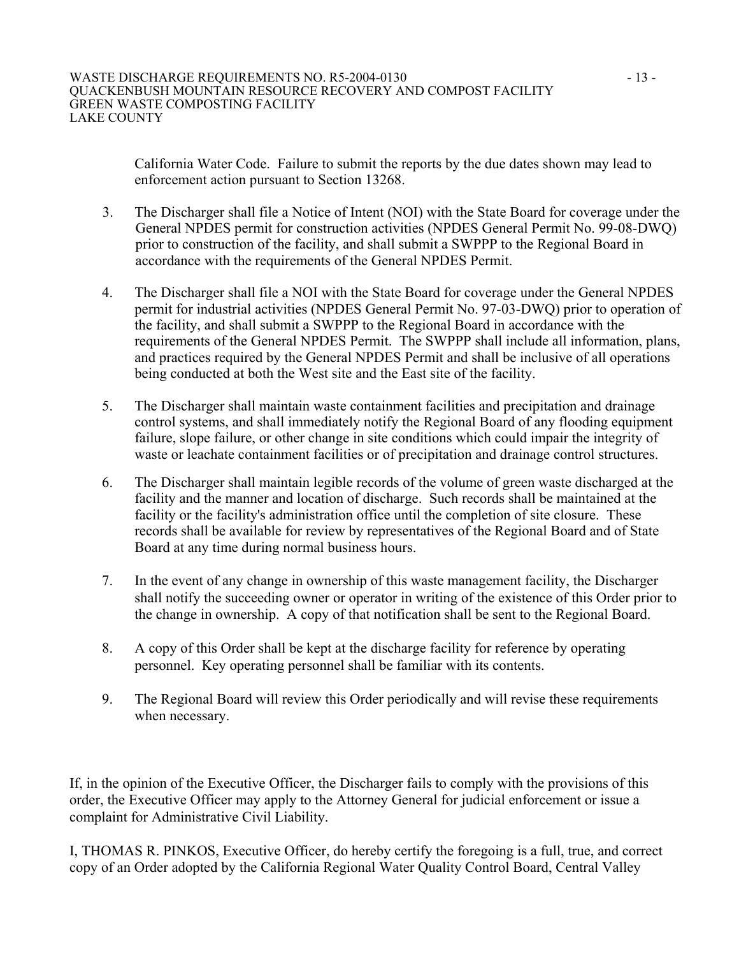California Water Code. Failure to submit the reports by the due dates shown may lead to enforcement action pursuant to Section 13268.

- 3. The Discharger shall file a Notice of Intent (NOI) with the State Board for coverage under the General NPDES permit for construction activities (NPDES General Permit No. 99-08-DWQ) prior to construction of the facility, and shall submit a SWPPP to the Regional Board in accordance with the requirements of the General NPDES Permit.
- 4. The Discharger shall file a NOI with the State Board for coverage under the General NPDES permit for industrial activities (NPDES General Permit No. 97-03-DWQ) prior to operation of the facility, and shall submit a SWPPP to the Regional Board in accordance with the requirements of the General NPDES Permit. The SWPPP shall include all information, plans, and practices required by the General NPDES Permit and shall be inclusive of all operations being conducted at both the West site and the East site of the facility.
- 5. The Discharger shall maintain waste containment facilities and precipitation and drainage control systems, and shall immediately notify the Regional Board of any flooding equipment failure, slope failure, or other change in site conditions which could impair the integrity of waste or leachate containment facilities or of precipitation and drainage control structures.
- 6. The Discharger shall maintain legible records of the volume of green waste discharged at the facility and the manner and location of discharge. Such records shall be maintained at the facility or the facility's administration office until the completion of site closure. These records shall be available for review by representatives of the Regional Board and of State Board at any time during normal business hours.
- 7. In the event of any change in ownership of this waste management facility, the Discharger shall notify the succeeding owner or operator in writing of the existence of this Order prior to the change in ownership. A copy of that notification shall be sent to the Regional Board.
- 8. A copy of this Order shall be kept at the discharge facility for reference by operating personnel. Key operating personnel shall be familiar with its contents.
- 9. The Regional Board will review this Order periodically and will revise these requirements when necessary.

If, in the opinion of the Executive Officer, the Discharger fails to comply with the provisions of this order, the Executive Officer may apply to the Attorney General for judicial enforcement or issue a complaint for Administrative Civil Liability.

I, THOMAS R. PINKOS, Executive Officer, do hereby certify the foregoing is a full, true, and correct copy of an Order adopted by the California Regional Water Quality Control Board, Central Valley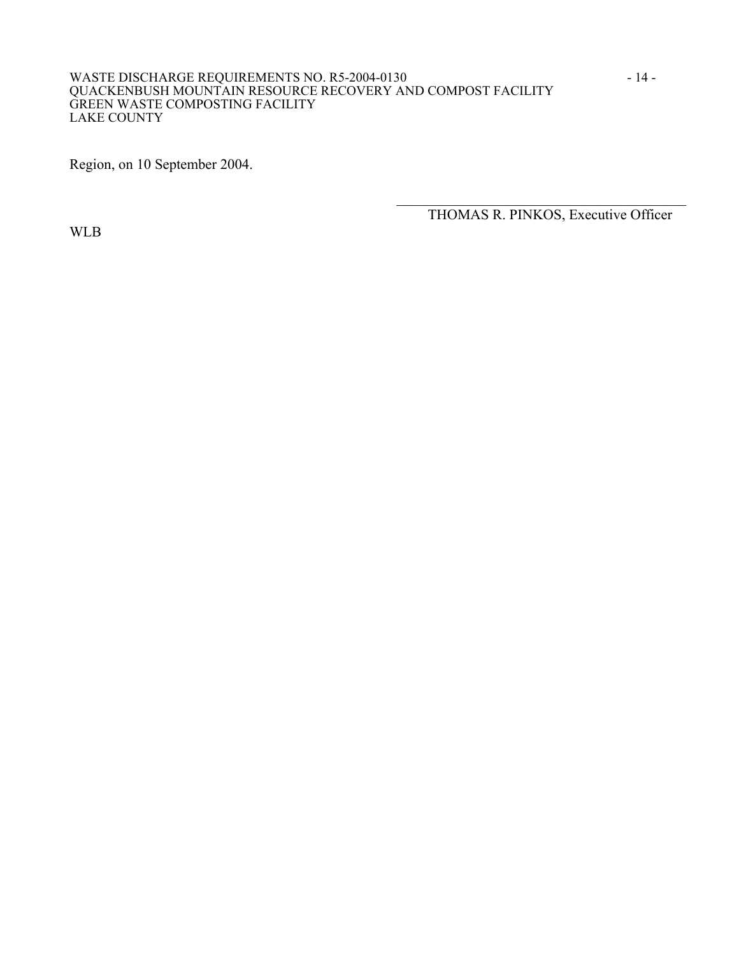#### WASTE DISCHARGE REQUIREMENTS NO. R5-2004-0130 - 14 -QUACKENBUSH MOUNTAIN RESOURCE RECOVERY AND COMPOST FACILITY GREEN WASTE COMPOSTING FACILITY LAKE COUNTY

 $\frac{1}{\sqrt{2}}$  ,  $\frac{1}{\sqrt{2}}$  ,  $\frac{1}{\sqrt{2}}$  ,  $\frac{1}{\sqrt{2}}$  ,  $\frac{1}{\sqrt{2}}$  ,  $\frac{1}{\sqrt{2}}$  ,  $\frac{1}{\sqrt{2}}$  ,  $\frac{1}{\sqrt{2}}$  ,  $\frac{1}{\sqrt{2}}$  ,  $\frac{1}{\sqrt{2}}$  ,  $\frac{1}{\sqrt{2}}$  ,  $\frac{1}{\sqrt{2}}$  ,  $\frac{1}{\sqrt{2}}$  ,  $\frac{1}{\sqrt{2}}$  ,  $\frac{1}{\sqrt{2}}$ 

Region, on 10 September 2004.

WLB

THOMAS R. PINKOS, Executive Officer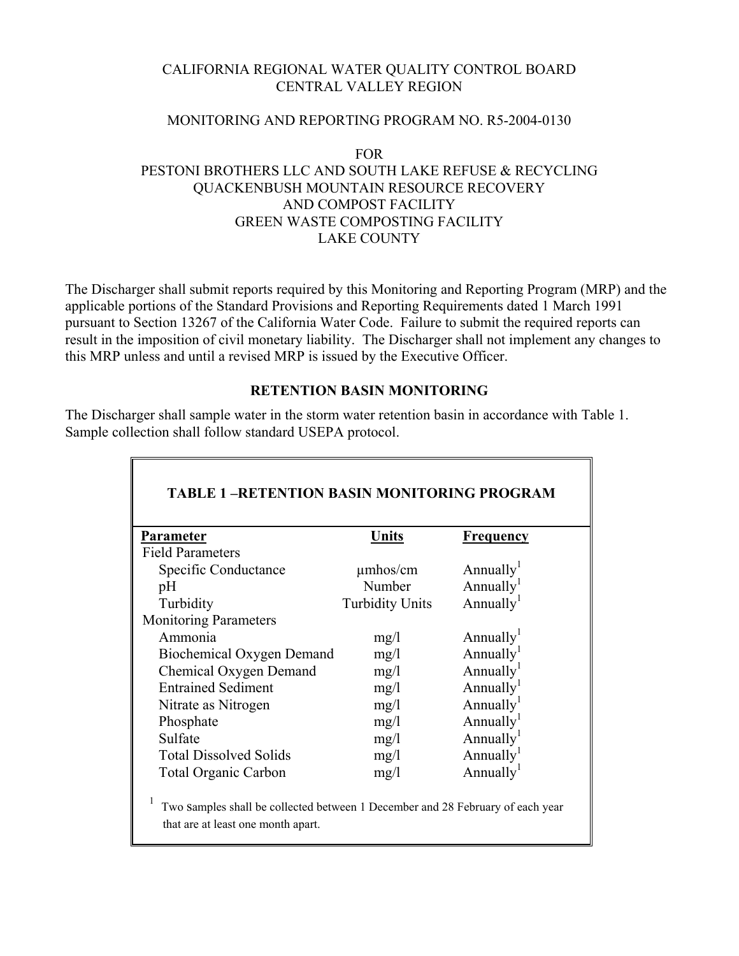## CALIFORNIA REGIONAL WATER QUALITY CONTROL BOARD CENTRAL VALLEY REGION

#### MONITORING AND REPORTING PROGRAM NO. R5-2004-0130

#### FOR PESTONI BROTHERS LLC AND SOUTH LAKE REFUSE & RECYCLING QUACKENBUSH MOUNTAIN RESOURCE RECOVERY AND COMPOST FACILITY GREEN WASTE COMPOSTING FACILITY LAKE COUNTY

The Discharger shall submit reports required by this Monitoring and Reporting Program (MRP) and the applicable portions of the Standard Provisions and Reporting Requirements dated 1 March 1991 pursuant to Section 13267 of the California Water Code. Failure to submit the required reports can result in the imposition of civil monetary liability. The Discharger shall not implement any changes to this MRP unless and until a revised MRP is issued by the Executive Officer.

#### **RETENTION BASIN MONITORING**

The Discharger shall sample water in the storm water retention basin in accordance with Table 1. Sample collection shall follow standard USEPA protocol.

| <b>Parameter</b>              | <b>Units</b>           | <b>Frequency</b>      |
|-------------------------------|------------------------|-----------------------|
| <b>Field Parameters</b>       |                        |                       |
| Specific Conductance          | $\mu$ mhos/cm          | Annually <sup>1</sup> |
| pH                            | Number                 | Annually <sup>1</sup> |
| Turbidity                     | <b>Turbidity Units</b> | Annually <sup>1</sup> |
| <b>Monitoring Parameters</b>  |                        |                       |
| Ammonia                       | mg/1                   | Annually <sup>1</sup> |
| Biochemical Oxygen Demand     | mg/1                   | Annually <sup>1</sup> |
| Chemical Oxygen Demand        | mg/1                   | Annually <sup>1</sup> |
| <b>Entrained Sediment</b>     | mg/1                   | Annually <sup>1</sup> |
| Nitrate as Nitrogen           | mg/1                   | Annually <sup>1</sup> |
| Phosphate                     | mg/1                   | Annually <sup>1</sup> |
| Sulfate                       | mg/1                   | Annually <sup>1</sup> |
| <b>Total Dissolved Solids</b> | mg/1                   | Annually <sup>1</sup> |
| <b>Total Organic Carbon</b>   | mg/1                   | Annually <sup>1</sup> |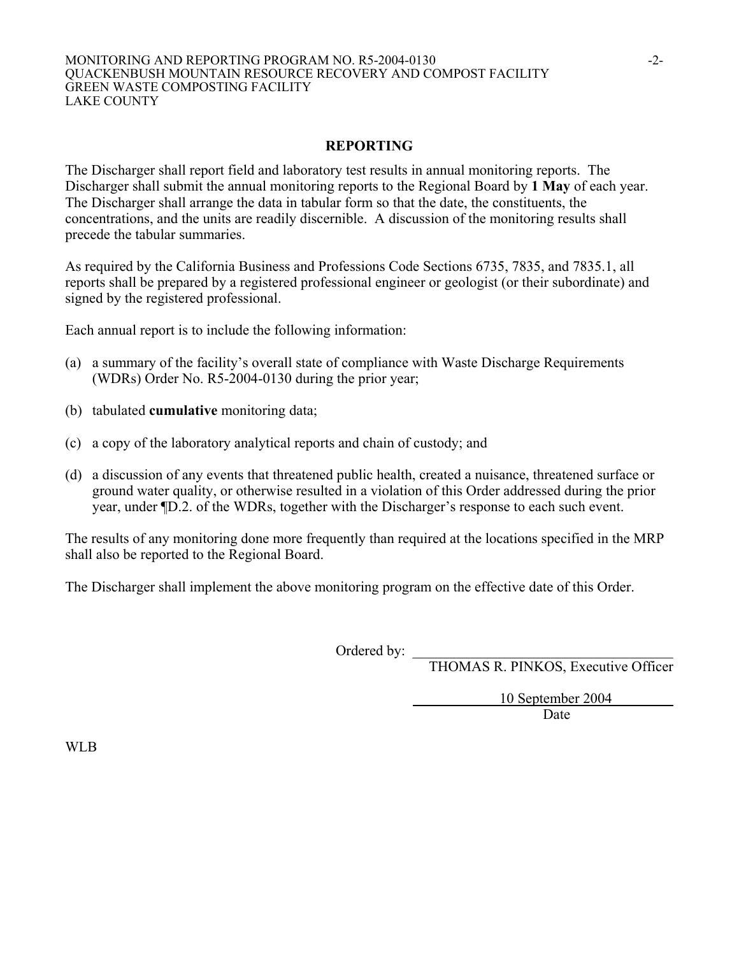#### MONITORING AND REPORTING PROGRAM NO. R5-2004-0130 -2- QUACKENBUSH MOUNTAIN RESOURCE RECOVERY AND COMPOST FACILITY GREEN WASTE COMPOSTING FACILITY LAKE COUNTY

#### **REPORTING**

The Discharger shall report field and laboratory test results in annual monitoring reports. The Discharger shall submit the annual monitoring reports to the Regional Board by **1 May** of each year. The Discharger shall arrange the data in tabular form so that the date, the constituents, the concentrations, and the units are readily discernible. A discussion of the monitoring results shall precede the tabular summaries.

As required by the California Business and Professions Code Sections 6735, 7835, and 7835.1, all reports shall be prepared by a registered professional engineer or geologist (or their subordinate) and signed by the registered professional.

Each annual report is to include the following information:

- (a) a summary of the facility's overall state of compliance with Waste Discharge Requirements (WDRs) Order No. R5-2004-0130 during the prior year;
- (b) tabulated **cumulative** monitoring data;
- (c) a copy of the laboratory analytical reports and chain of custody; and
- (d) a discussion of any events that threatened public health, created a nuisance, threatened surface or ground water quality, or otherwise resulted in a violation of this Order addressed during the prior year, under ¶D.2. of the WDRs, together with the Discharger's response to each such event.

The results of any monitoring done more frequently than required at the locations specified in the MRP shall also be reported to the Regional Board.

The Discharger shall implement the above monitoring program on the effective date of this Order.

Ordered by: \_

THOMAS R. PINKOS, Executive Officer

 10 September 2004 Date

WLB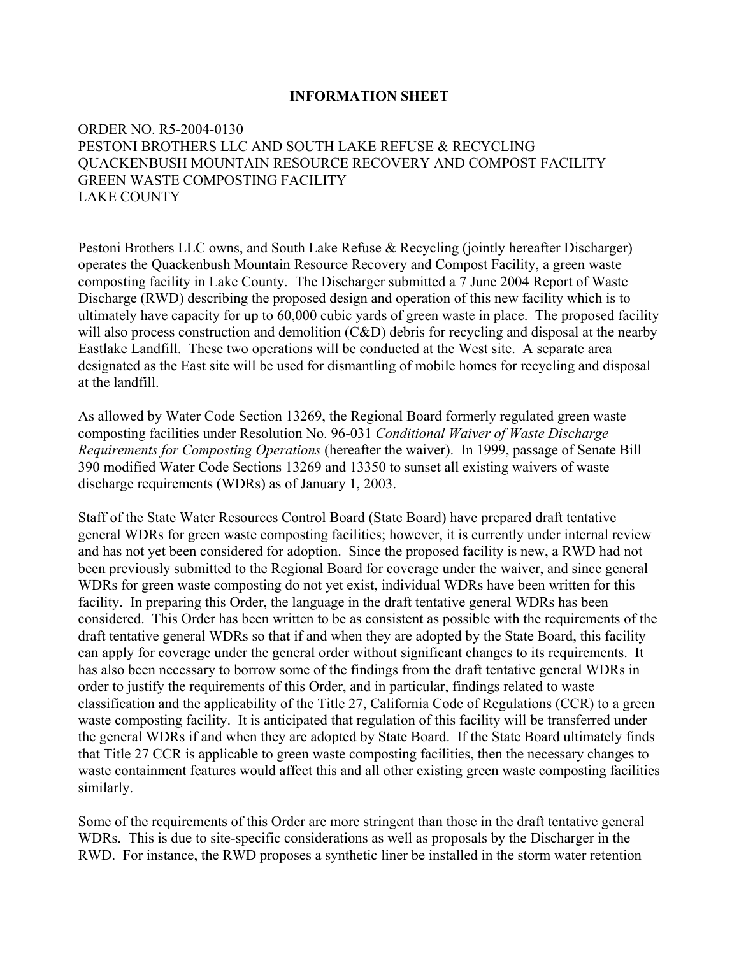#### **INFORMATION SHEET**

## ORDER NO. R5-2004-0130 PESTONI BROTHERS LLC AND SOUTH LAKE REFUSE & RECYCLING QUACKENBUSH MOUNTAIN RESOURCE RECOVERY AND COMPOST FACILITY GREEN WASTE COMPOSTING FACILITY LAKE COUNTY

Pestoni Brothers LLC owns, and South Lake Refuse & Recycling (jointly hereafter Discharger) operates the Quackenbush Mountain Resource Recovery and Compost Facility, a green waste composting facility in Lake County. The Discharger submitted a 7 June 2004 Report of Waste Discharge (RWD) describing the proposed design and operation of this new facility which is to ultimately have capacity for up to 60,000 cubic yards of green waste in place. The proposed facility will also process construction and demolition (C&D) debris for recycling and disposal at the nearby Eastlake Landfill. These two operations will be conducted at the West site. A separate area designated as the East site will be used for dismantling of mobile homes for recycling and disposal at the landfill.

As allowed by Water Code Section 13269, the Regional Board formerly regulated green waste composting facilities under Resolution No. 96-031 *Conditional Waiver of Waste Discharge Requirements for Composting Operations* (hereafter the waiver). In 1999, passage of Senate Bill 390 modified Water Code Sections 13269 and 13350 to sunset all existing waivers of waste discharge requirements (WDRs) as of January 1, 2003.

Staff of the State Water Resources Control Board (State Board) have prepared draft tentative general WDRs for green waste composting facilities; however, it is currently under internal review and has not yet been considered for adoption. Since the proposed facility is new, a RWD had not been previously submitted to the Regional Board for coverage under the waiver, and since general WDRs for green waste composting do not yet exist, individual WDRs have been written for this facility. In preparing this Order, the language in the draft tentative general WDRs has been considered. This Order has been written to be as consistent as possible with the requirements of the draft tentative general WDRs so that if and when they are adopted by the State Board, this facility can apply for coverage under the general order without significant changes to its requirements. It has also been necessary to borrow some of the findings from the draft tentative general WDRs in order to justify the requirements of this Order, and in particular, findings related to waste classification and the applicability of the Title 27, California Code of Regulations (CCR) to a green waste composting facility. It is anticipated that regulation of this facility will be transferred under the general WDRs if and when they are adopted by State Board. If the State Board ultimately finds that Title 27 CCR is applicable to green waste composting facilities, then the necessary changes to waste containment features would affect this and all other existing green waste composting facilities similarly.

Some of the requirements of this Order are more stringent than those in the draft tentative general WDRs. This is due to site-specific considerations as well as proposals by the Discharger in the RWD. For instance, the RWD proposes a synthetic liner be installed in the storm water retention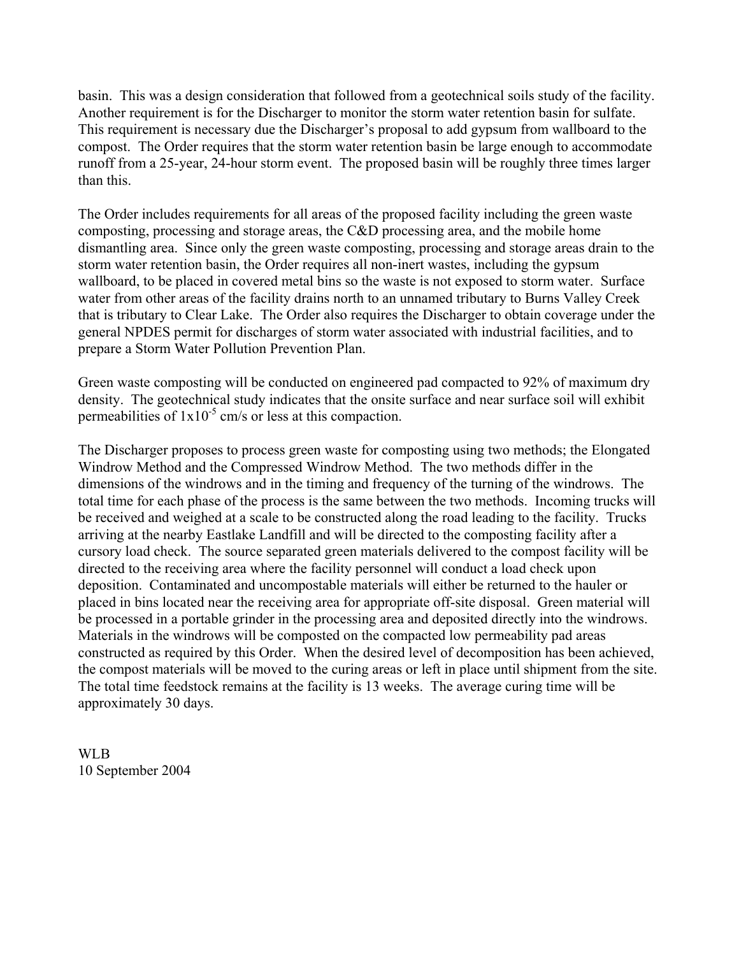basin. This was a design consideration that followed from a geotechnical soils study of the facility. Another requirement is for the Discharger to monitor the storm water retention basin for sulfate. This requirement is necessary due the Discharger's proposal to add gypsum from wallboard to the compost. The Order requires that the storm water retention basin be large enough to accommodate runoff from a 25-year, 24-hour storm event. The proposed basin will be roughly three times larger than this.

The Order includes requirements for all areas of the proposed facility including the green waste composting, processing and storage areas, the C&D processing area, and the mobile home dismantling area. Since only the green waste composting, processing and storage areas drain to the storm water retention basin, the Order requires all non-inert wastes, including the gypsum wallboard, to be placed in covered metal bins so the waste is not exposed to storm water. Surface water from other areas of the facility drains north to an unnamed tributary to Burns Valley Creek that is tributary to Clear Lake. The Order also requires the Discharger to obtain coverage under the general NPDES permit for discharges of storm water associated with industrial facilities, and to prepare a Storm Water Pollution Prevention Plan.

Green waste composting will be conducted on engineered pad compacted to 92% of maximum dry density. The geotechnical study indicates that the onsite surface and near surface soil will exhibit permeabilities of  $1x10^{-5}$  cm/s or less at this compaction.

The Discharger proposes to process green waste for composting using two methods; the Elongated Windrow Method and the Compressed Windrow Method. The two methods differ in the dimensions of the windrows and in the timing and frequency of the turning of the windrows. The total time for each phase of the process is the same between the two methods. Incoming trucks will be received and weighed at a scale to be constructed along the road leading to the facility. Trucks arriving at the nearby Eastlake Landfill and will be directed to the composting facility after a cursory load check. The source separated green materials delivered to the compost facility will be directed to the receiving area where the facility personnel will conduct a load check upon deposition. Contaminated and uncompostable materials will either be returned to the hauler or placed in bins located near the receiving area for appropriate off-site disposal. Green material will be processed in a portable grinder in the processing area and deposited directly into the windrows. Materials in the windrows will be composted on the compacted low permeability pad areas constructed as required by this Order. When the desired level of decomposition has been achieved, the compost materials will be moved to the curing areas or left in place until shipment from the site. The total time feedstock remains at the facility is 13 weeks. The average curing time will be approximately 30 days.

WLB 10 September 2004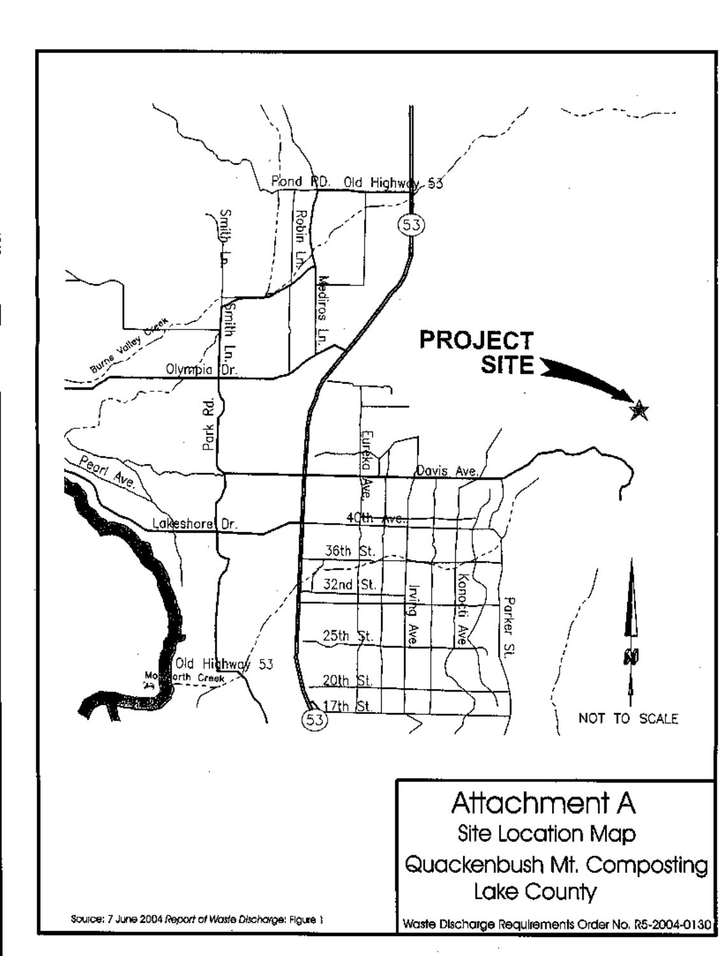